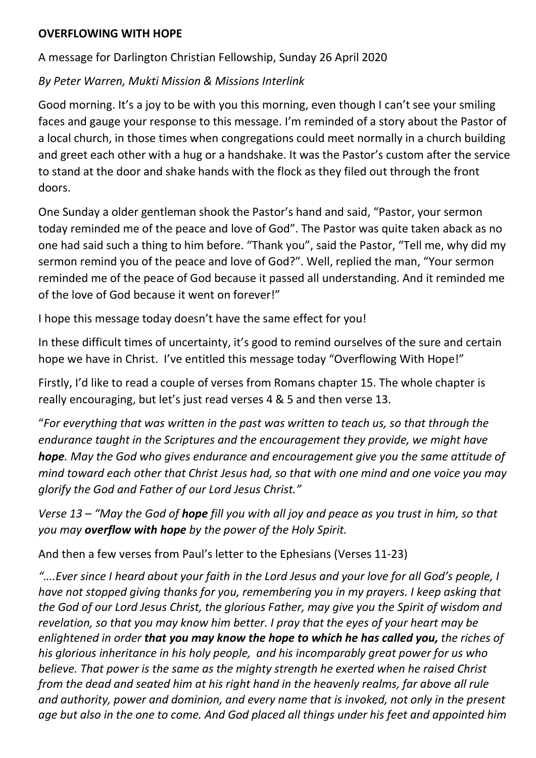## OVERFLOWING WITH HOPE

A message for Darlington Christian Fellowship, Sunday 26 April 2020

## By Peter Warren, Mukti Mission & Missions Interlink

Good morning. It's a joy to be with you this morning, even though I can't see your smiling faces and gauge your response to this message. I'm reminded of a story about the Pastor of a local church, in those times when congregations could meet normally in a church building and greet each other with a hug or a handshake. It was the Pastor's custom after the service to stand at the door and shake hands with the flock as they filed out through the front doors.

One Sunday a older gentleman shook the Pastor's hand and said, "Pastor, your sermon today reminded me of the peace and love of God". The Pastor was quite taken aback as no one had said such a thing to him before. "Thank you", said the Pastor, "Tell me, why did my sermon remind you of the peace and love of God?". Well, replied the man, "Your sermon reminded me of the peace of God because it passed all understanding. And it reminded me of the love of God because it went on forever!"

I hope this message today doesn't have the same effect for you!

In these difficult times of uncertainty, it's good to remind ourselves of the sure and certain hope we have in Christ. I've entitled this message today "Overflowing With Hope!"

Firstly, I'd like to read a couple of verses from Romans chapter 15. The whole chapter is really encouraging, but let's just read verses 4 & 5 and then verse 13.

"For everything that was written in the past was written to teach us, so that through the endurance taught in the Scriptures and the encouragement they provide, we might have hope. May the God who gives endurance and encouragement give you the same attitude of mind toward each other that Christ Jesus had, so that with one mind and one voice you may glorify the God and Father of our Lord Jesus Christ."

Verse  $13$  – "May the God of **hope** fill you with all joy and peace as you trust in him, so that you may overflow with hope by the power of the Holy Spirit.

And then a few verses from Paul's letter to the Ephesians (Verses 11-23)

"….Ever since I heard about your faith in the Lord Jesus and your love for all God's people, I have not stopped giving thanks for you, remembering you in my prayers. I keep asking that the God of our Lord Jesus Christ, the glorious Father, may give you the Spirit of wisdom and revelation, so that you may know him better. I pray that the eyes of your heart may be enlightened in order that you may know the hope to which he has called you, the riches of his glorious inheritance in his holy people, and his incomparably great power for us who believe. That power is the same as the mighty strength he exerted when he raised Christ from the dead and seated him at his right hand in the heavenly realms, far above all rule and authority, power and dominion, and every name that is invoked, not only in the present age but also in the one to come. And God placed all things under his feet and appointed him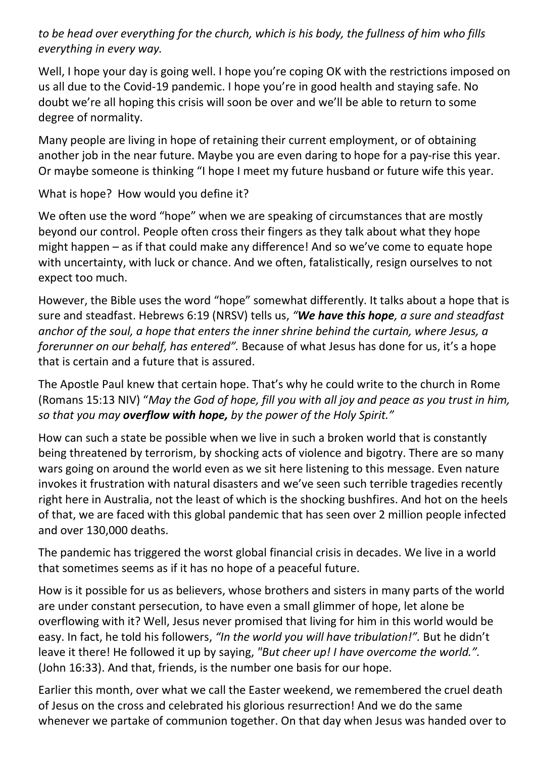to be head over everything for the church, which is his body, the fullness of him who fills everything in every way.

Well, I hope your day is going well. I hope you're coping OK with the restrictions imposed on us all due to the Covid-19 pandemic. I hope you're in good health and staying safe. No doubt we're all hoping this crisis will soon be over and we'll be able to return to some degree of normality.

Many people are living in hope of retaining their current employment, or of obtaining another job in the near future. Maybe you are even daring to hope for a pay-rise this year. Or maybe someone is thinking "I hope I meet my future husband or future wife this year.

What is hope? How would you define it?

We often use the word "hope" when we are speaking of circumstances that are mostly beyond our control. People often cross their fingers as they talk about what they hope might happen – as if that could make any difference! And so we've come to equate hope with uncertainty, with luck or chance. And we often, fatalistically, resign ourselves to not expect too much.

However, the Bible uses the word "hope" somewhat differently. It talks about a hope that is sure and steadfast. Hebrews 6:19 (NRSV) tells us, "We have this hope, a sure and steadfast anchor of the soul, a hope that enters the inner shrine behind the curtain, where Jesus, a forerunner on our behalf, has entered". Because of what Jesus has done for us, it's a hope that is certain and a future that is assured.

The Apostle Paul knew that certain hope. That's why he could write to the church in Rome (Romans 15:13 NIV) "May the God of hope, fill you with all joy and peace as you trust in him, so that you may **overflow with hope,** by the power of the Holy Spirit."

How can such a state be possible when we live in such a broken world that is constantly being threatened by terrorism, by shocking acts of violence and bigotry. There are so many wars going on around the world even as we sit here listening to this message. Even nature invokes it frustration with natural disasters and we've seen such terrible tragedies recently right here in Australia, not the least of which is the shocking bushfires. And hot on the heels of that, we are faced with this global pandemic that has seen over 2 million people infected and over 130,000 deaths.

The pandemic has triggered the worst global financial crisis in decades. We live in a world that sometimes seems as if it has no hope of a peaceful future.

How is it possible for us as believers, whose brothers and sisters in many parts of the world are under constant persecution, to have even a small glimmer of hope, let alone be overflowing with it? Well, Jesus never promised that living for him in this world would be easy. In fact, he told his followers, "In the world you will have tribulation!". But he didn't leave it there! He followed it up by saying, "But cheer up! I have overcome the world.". (John 16:33). And that, friends, is the number one basis for our hope.

Earlier this month, over what we call the Easter weekend, we remembered the cruel death of Jesus on the cross and celebrated his glorious resurrection! And we do the same whenever we partake of communion together. On that day when Jesus was handed over to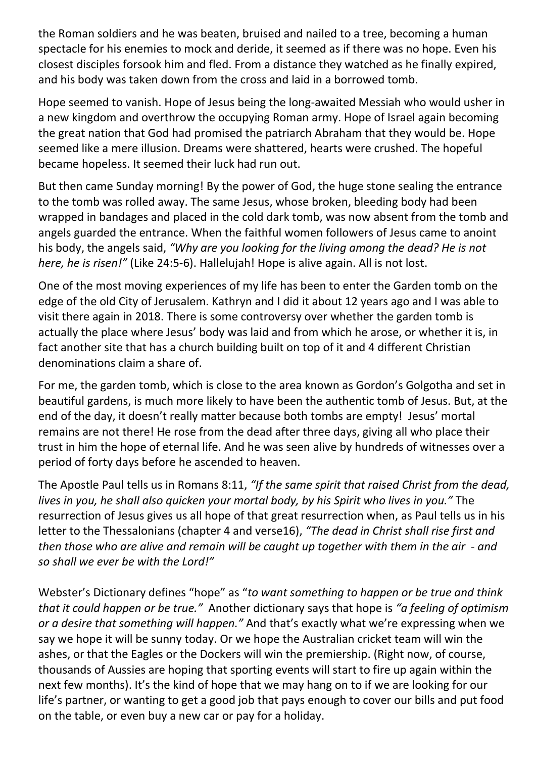the Roman soldiers and he was beaten, bruised and nailed to a tree, becoming a human spectacle for his enemies to mock and deride, it seemed as if there was no hope. Even his closest disciples forsook him and fled. From a distance they watched as he finally expired, and his body was taken down from the cross and laid in a borrowed tomb.

Hope seemed to vanish. Hope of Jesus being the long-awaited Messiah who would usher in a new kingdom and overthrow the occupying Roman army. Hope of Israel again becoming the great nation that God had promised the patriarch Abraham that they would be. Hope seemed like a mere illusion. Dreams were shattered, hearts were crushed. The hopeful became hopeless. It seemed their luck had run out.

But then came Sunday morning! By the power of God, the huge stone sealing the entrance to the tomb was rolled away. The same Jesus, whose broken, bleeding body had been wrapped in bandages and placed in the cold dark tomb, was now absent from the tomb and angels guarded the entrance. When the faithful women followers of Jesus came to anoint his body, the angels said, "Why are you looking for the living among the dead? He is not here, he is risen!" (Like 24:5-6). Hallelujah! Hope is alive again. All is not lost.

One of the most moving experiences of my life has been to enter the Garden tomb on the edge of the old City of Jerusalem. Kathryn and I did it about 12 years ago and I was able to visit there again in 2018. There is some controversy over whether the garden tomb is actually the place where Jesus' body was laid and from which he arose, or whether it is, in fact another site that has a church building built on top of it and 4 different Christian denominations claim a share of.

For me, the garden tomb, which is close to the area known as Gordon's Golgotha and set in beautiful gardens, is much more likely to have been the authentic tomb of Jesus. But, at the end of the day, it doesn't really matter because both tombs are empty! Jesus' mortal remains are not there! He rose from the dead after three days, giving all who place their trust in him the hope of eternal life. And he was seen alive by hundreds of witnesses over a period of forty days before he ascended to heaven.

The Apostle Paul tells us in Romans 8:11, "If the same spirit that raised Christ from the dead, lives in you, he shall also quicken your mortal body, by his Spirit who lives in you." The resurrection of Jesus gives us all hope of that great resurrection when, as Paul tells us in his letter to the Thessalonians (chapter 4 and verse16), "The dead in Christ shall rise first and then those who are alive and remain will be caught up together with them in the air - and so shall we ever be with the Lord!"

Webster's Dictionary defines "hope" as "to want something to happen or be true and think that it could happen or be true." Another dictionary says that hope is "a feeling of optimism or a desire that something will happen." And that's exactly what we're expressing when we say we hope it will be sunny today. Or we hope the Australian cricket team will win the ashes, or that the Eagles or the Dockers will win the premiership. (Right now, of course, thousands of Aussies are hoping that sporting events will start to fire up again within the next few months). It's the kind of hope that we may hang on to if we are looking for our life's partner, or wanting to get a good job that pays enough to cover our bills and put food on the table, or even buy a new car or pay for a holiday.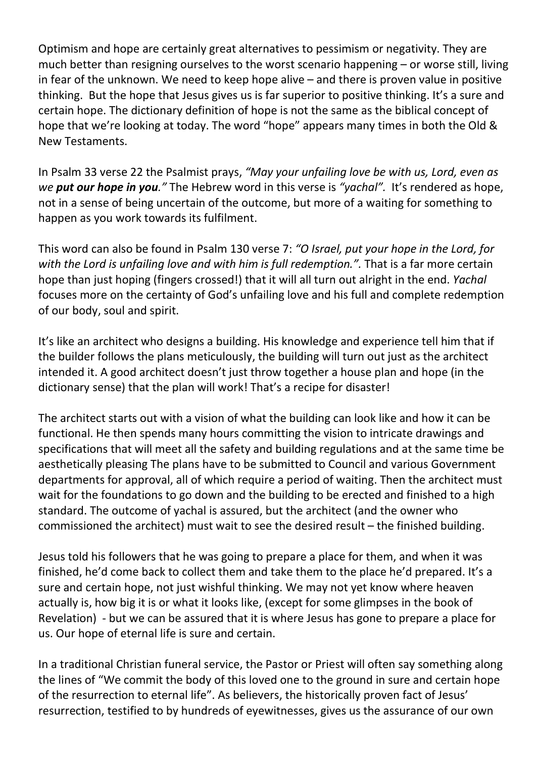Optimism and hope are certainly great alternatives to pessimism or negativity. They are much better than resigning ourselves to the worst scenario happening – or worse still, living in fear of the unknown. We need to keep hope alive – and there is proven value in positive thinking. But the hope that Jesus gives us is far superior to positive thinking. It's a sure and certain hope. The dictionary definition of hope is not the same as the biblical concept of hope that we're looking at today. The word "hope" appears many times in both the Old & New Testaments.

In Psalm 33 verse 22 the Psalmist prays, "May your unfailing love be with us, Lord, even as we put our hope in you." The Hebrew word in this verse is "yachal". It's rendered as hope, not in a sense of being uncertain of the outcome, but more of a waiting for something to happen as you work towards its fulfilment.

This word can also be found in Psalm 130 verse 7: "O Israel, put your hope in the Lord, for with the Lord is unfailing love and with him is full redemption.". That is a far more certain hope than just hoping (fingers crossed!) that it will all turn out alright in the end. Yachal focuses more on the certainty of God's unfailing love and his full and complete redemption of our body, soul and spirit.

It's like an architect who designs a building. His knowledge and experience tell him that if the builder follows the plans meticulously, the building will turn out just as the architect intended it. A good architect doesn't just throw together a house plan and hope (in the dictionary sense) that the plan will work! That's a recipe for disaster!

The architect starts out with a vision of what the building can look like and how it can be functional. He then spends many hours committing the vision to intricate drawings and specifications that will meet all the safety and building regulations and at the same time be aesthetically pleasing The plans have to be submitted to Council and various Government departments for approval, all of which require a period of waiting. Then the architect must wait for the foundations to go down and the building to be erected and finished to a high standard. The outcome of yachal is assured, but the architect (and the owner who commissioned the architect) must wait to see the desired result – the finished building.

Jesus told his followers that he was going to prepare a place for them, and when it was finished, he'd come back to collect them and take them to the place he'd prepared. It's a sure and certain hope, not just wishful thinking. We may not yet know where heaven actually is, how big it is or what it looks like, (except for some glimpses in the book of Revelation) - but we can be assured that it is where Jesus has gone to prepare a place for us. Our hope of eternal life is sure and certain.

In a traditional Christian funeral service, the Pastor or Priest will often say something along the lines of "We commit the body of this loved one to the ground in sure and certain hope of the resurrection to eternal life". As believers, the historically proven fact of Jesus' resurrection, testified to by hundreds of eyewitnesses, gives us the assurance of our own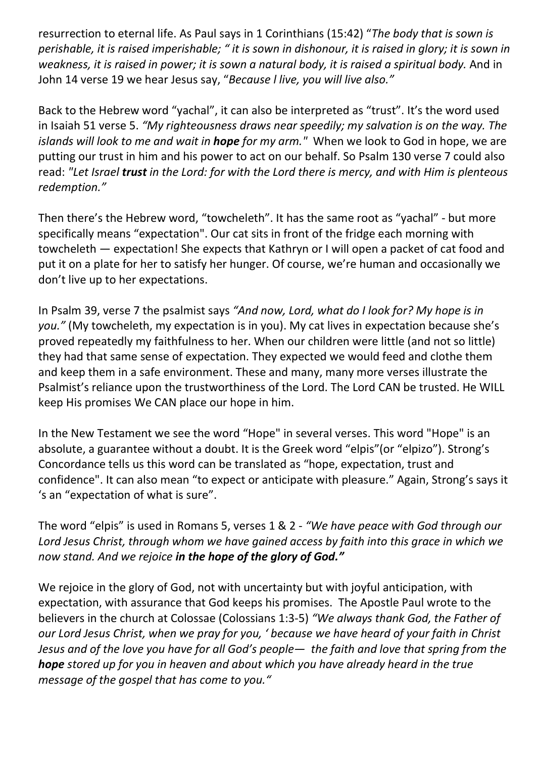resurrection to eternal life. As Paul says in 1 Corinthians (15:42) "The body that is sown is perishable, it is raised imperishable; " it is sown in dishonour, it is raised in glory; it is sown in weakness, it is raised in power; it is sown a natural body, it is raised a spiritual body. And in John 14 verse 19 we hear Jesus say, "Because I live, you will live also."

Back to the Hebrew word "yachal", it can also be interpreted as "trust". It's the word used in Isaiah 51 verse 5. "My righteousness draws near speedily; my salvation is on the way. The islands will look to me and wait in hope for my arm." When we look to God in hope, we are putting our trust in him and his power to act on our behalf. So Psalm 130 verse 7 could also read: "Let Israel trust in the Lord: for with the Lord there is mercy, and with Him is plenteous redemption."

Then there's the Hebrew word, "towcheleth". It has the same root as "yachal" - but more specifically means "expectation". Our cat sits in front of the fridge each morning with towcheleth — expectation! She expects that Kathryn or I will open a packet of cat food and put it on a plate for her to satisfy her hunger. Of course, we're human and occasionally we don't live up to her expectations.

In Psalm 39, verse 7 the psalmist says "And now, Lord, what do I look for? My hope is in you." (My towcheleth, my expectation is in you). My cat lives in expectation because she's proved repeatedly my faithfulness to her. When our children were little (and not so little) they had that same sense of expectation. They expected we would feed and clothe them and keep them in a safe environment. These and many, many more verses illustrate the Psalmist's reliance upon the trustworthiness of the Lord. The Lord CAN be trusted. He WILL keep His promises We CAN place our hope in him.

In the New Testament we see the word "Hope" in several verses. This word "Hope" is an absolute, a guarantee without a doubt. It is the Greek word "elpis"(or "elpizo"). Strong's Concordance tells us this word can be translated as "hope, expectation, trust and confidence". It can also mean "to expect or anticipate with pleasure." Again, Strong's says it 's an "expectation of what is sure".

The word "elpis" is used in Romans 5, verses 1 & 2 - "We have peace with God through our Lord Jesus Christ, through whom we have gained access by faith into this grace in which we now stand. And we rejoice in the hope of the glory of God."

We rejoice in the glory of God, not with uncertainty but with joyful anticipation, with expectation, with assurance that God keeps his promises. The Apostle Paul wrote to the believers in the church at Colossae (Colossians 1:3-5) "We always thank God, the Father of our Lord Jesus Christ, when we pray for you, ' because we have heard of your faith in Christ Jesus and of the love you have for all God's people— the faith and love that spring from the hope stored up for you in heaven and about which you have already heard in the true message of the gospel that has come to you."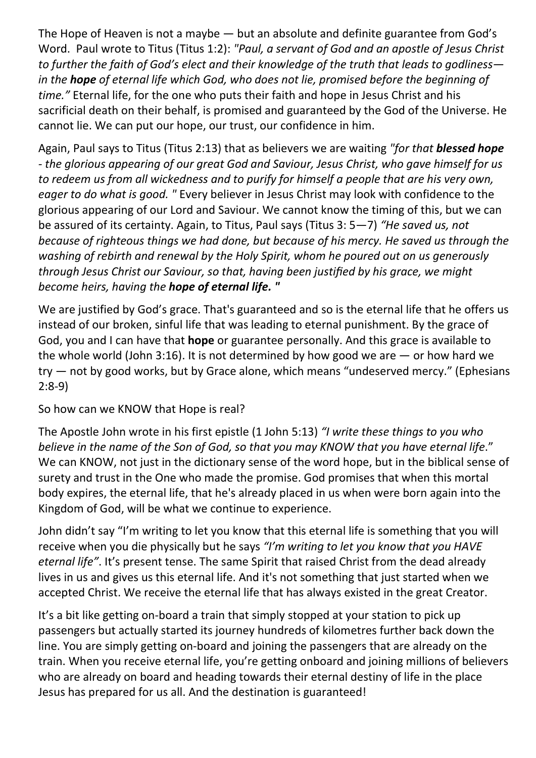The Hope of Heaven is not a maybe — but an absolute and definite guarantee from God's Word. Paul wrote to Titus (Titus 1:2): "Paul, a servant of God and an apostle of Jesus Christ to further the faith of God's elect and their knowledge of the truth that leads to godliness in the **hope** of eternal life which God, who does not lie, promised before the beginning of time." Eternal life, for the one who puts their faith and hope in Jesus Christ and his sacrificial death on their behalf, is promised and guaranteed by the God of the Universe. He cannot lie. We can put our hope, our trust, our confidence in him.

Again, Paul says to Titus (Titus 2:13) that as believers we are waiting "for that **blessed hope** - the glorious appearing of our great God and Saviour, Jesus Christ, who gave himself for us to redeem us from all wickedness and to purify for himself a people that are his very own, eager to do what is good. " Every believer in Jesus Christ may look with confidence to the glorious appearing of our Lord and Saviour. We cannot know the timing of this, but we can be assured of its certainty. Again, to Titus, Paul says (Titus 3: 5—7) "He saved us, not because of righteous things we had done, but because of his mercy. He saved us through the washing of rebirth and renewal by the Holy Spirit, whom he poured out on us generously through Jesus Christ our Saviour, so that, having been justified by his grace, we might become heirs, having the hope of eternal life. "

We are justified by God's grace. That's guaranteed and so is the eternal life that he offers us instead of our broken, sinful life that was leading to eternal punishment. By the grace of God, you and I can have that **hope** or guarantee personally. And this grace is available to the whole world (John 3:16). It is not determined by how good we are  $-$  or how hard we try — not by good works, but by Grace alone, which means "undeserved mercy." (Ephesians 2:8-9)

So how can we KNOW that Hope is real?

The Apostle John wrote in his first epistle (1 John 5:13) "I write these things to you who believe in the name of the Son of God, so that you may KNOW that you have eternal life." We can KNOW, not just in the dictionary sense of the word hope, but in the biblical sense of surety and trust in the One who made the promise. God promises that when this mortal body expires, the eternal life, that he's already placed in us when were born again into the Kingdom of God, will be what we continue to experience.

John didn't say "I'm writing to let you know that this eternal life is something that you will receive when you die physically but he says "I'm writing to let you know that you HAVE eternal life". It's present tense. The same Spirit that raised Christ from the dead already lives in us and gives us this eternal life. And it's not something that just started when we accepted Christ. We receive the eternal life that has always existed in the great Creator.

It's a bit like getting on-board a train that simply stopped at your station to pick up passengers but actually started its journey hundreds of kilometres further back down the line. You are simply getting on-board and joining the passengers that are already on the train. When you receive eternal life, you're getting onboard and joining millions of believers who are already on board and heading towards their eternal destiny of life in the place Jesus has prepared for us all. And the destination is guaranteed!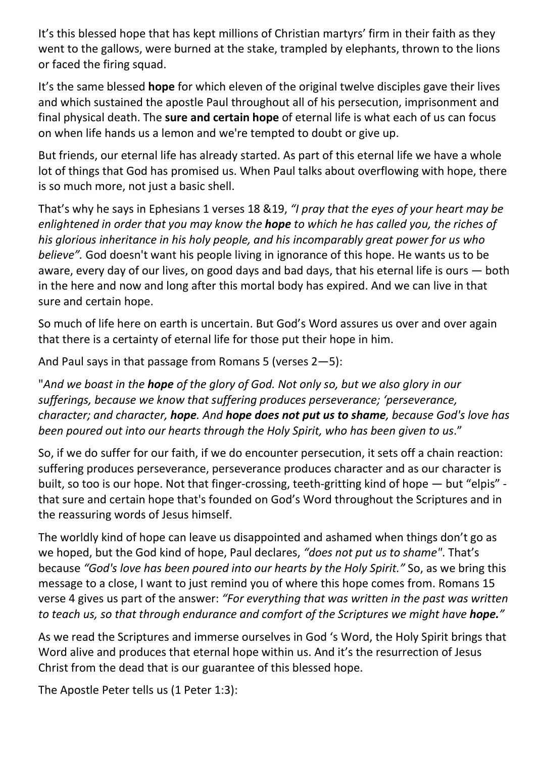It's this blessed hope that has kept millions of Christian martyrs' firm in their faith as they went to the gallows, were burned at the stake, trampled by elephants, thrown to the lions or faced the firing squad.

It's the same blessed **hope** for which eleven of the original twelve disciples gave their lives and which sustained the apostle Paul throughout all of his persecution, imprisonment and final physical death. The sure and certain hope of eternal life is what each of us can focus on when life hands us a lemon and we're tempted to doubt or give up.

But friends, our eternal life has already started. As part of this eternal life we have a whole lot of things that God has promised us. When Paul talks about overflowing with hope, there is so much more, not just a basic shell.

That's why he says in Ephesians 1 verses 18 &19, "I pray that the eyes of your heart may be enlightened in order that you may know the **hope** to which he has called you, the riches of his glorious inheritance in his holy people, and his incomparably great power for us who believe". God doesn't want his people living in ignorance of this hope. He wants us to be aware, every day of our lives, on good days and bad days, that his eternal life is ours — both in the here and now and long after this mortal body has expired. And we can live in that sure and certain hope.

So much of life here on earth is uncertain. But God's Word assures us over and over again that there is a certainty of eternal life for those put their hope in him.

And Paul says in that passage from Romans 5 (verses 2—5):

"And we boast in the **hope** of the glory of God. Not only so, but we also glory in our sufferings, because we know that suffering produces perseverance; 'perseverance, character; and character, hope. And hope does not put us to shame, because God's love has been poured out into our hearts through the Holy Spirit, who has been given to us."

So, if we do suffer for our faith, if we do encounter persecution, it sets off a chain reaction: suffering produces perseverance, perseverance produces character and as our character is built, so too is our hope. Not that finger-crossing, teeth-gritting kind of hope — but "elpis" that sure and certain hope that's founded on God's Word throughout the Scriptures and in the reassuring words of Jesus himself.

The worldly kind of hope can leave us disappointed and ashamed when things don't go as we hoped, but the God kind of hope, Paul declares, "does not put us to shame". That's because "God's love has been poured into our hearts by the Holy Spirit." So, as we bring this message to a close, I want to just remind you of where this hope comes from. Romans 15 verse 4 gives us part of the answer: "For everything that was written in the past was written to teach us, so that through endurance and comfort of the Scriptures we might have **hope.**"

As we read the Scriptures and immerse ourselves in God 's Word, the Holy Spirit brings that Word alive and produces that eternal hope within us. And it's the resurrection of Jesus Christ from the dead that is our guarantee of this blessed hope.

The Apostle Peter tells us (1 Peter 1:3):